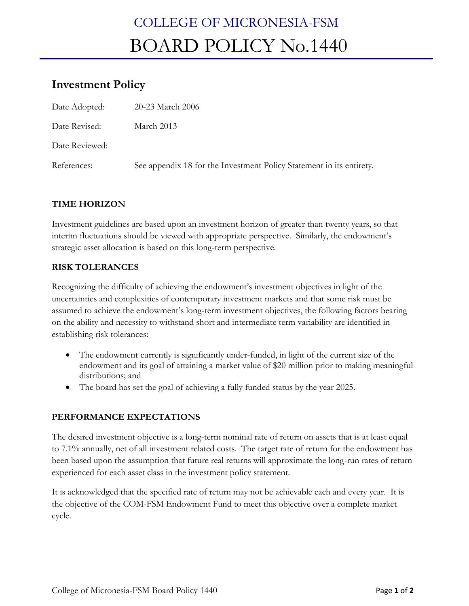# COLLEGE OF MICRONESIA-FSM BOARD POLICY No.1440

# **Investment Policy**

| Date Adopted:  | 20-23 March 2006                                                     |
|----------------|----------------------------------------------------------------------|
| Date Revised:  | March 2013                                                           |
| Date Reviewed: |                                                                      |
| References:    | See appendix 18 for the Investment Policy Statement in its entirety. |

## **TIME HORIZON**

Investment guidelines are based upon an investment horizon of greater than twenty years, so that interim fluctuations should be viewed with appropriate perspective. Similarly, the endowment's strategic asset allocation is based on this long-term perspective.

#### **RISK TOLERANCES**

Recognizing the difficulty of achieving the endowment's investment objectives in light of the uncertainties and complexities of contemporary investment markets and that some risk must be assumed to achieve the endowment's long-term investment objectives, the following factors bearing on the ability and necessity to withstand short and intermediate term variability are identified in establishing risk tolerances:

- The endowment currently is significantly under-funded, in light of the current size of the endowment and its goal of attaining a market value of \$20 million prior to making meaningful distributions; and
- The board has set the goal of achieving a fully funded status by the year 2025.

### **PERFORMANCE EXPECTATIONS**

The desired investment objective is a long-term nominal rate of return on assets that is at least equal to 7.1% annually, net of all investment related costs. The target rate of return for the endowment has been based upon the assumption that future real returns will approximate the long-run rates of return experienced for each asset class in the investment policy statement.

It is acknowledged that the specified rate of return may not be achievable each and every year. It is the objective of the COM-FSM Endowment Fund to meet this objective over a complete market cycle.